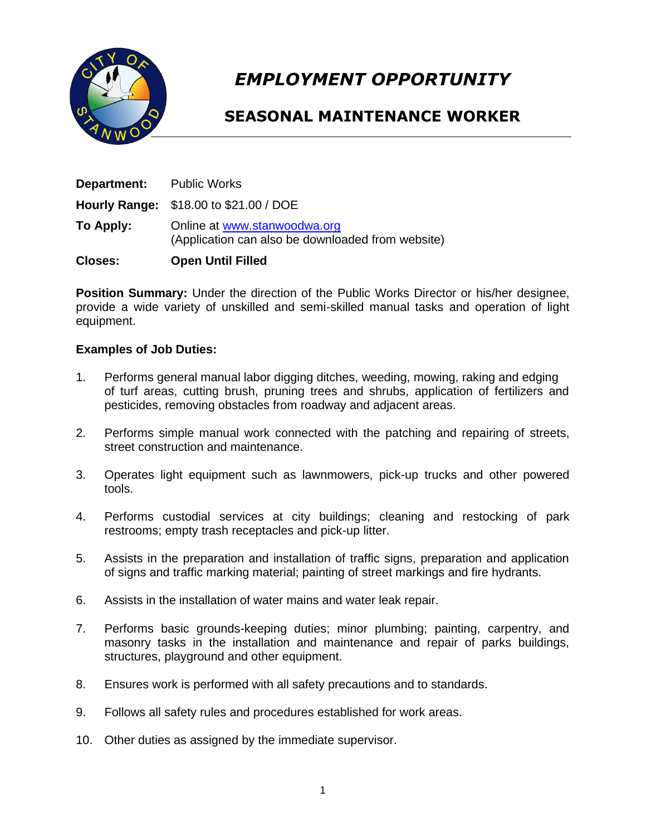

# *EMPLOYMENT OPPORTUNITY*

# **SEASONAL MAINTENANCE WORKER**

| <b>Closes:</b> | <b>Open Until Filled</b>                                                          |
|----------------|-----------------------------------------------------------------------------------|
| To Apply:      | Online at www.stanwoodwa.org<br>(Application can also be downloaded from website) |
|                | Hourly Range: \$18.00 to \$21.00 / DOE                                            |
| Department:    | <b>Public Works</b>                                                               |

**Position Summary:** Under the direction of the Public Works Director or his/her designee, provide a wide variety of unskilled and semi-skilled manual tasks and operation of light equipment.

## **Examples of Job Duties:**

- 1. Performs general manual labor digging ditches, weeding, mowing, raking and edging of turf areas, cutting brush, pruning trees and shrubs, application of fertilizers and pesticides, removing obstacles from roadway and adjacent areas.
- 2. Performs simple manual work connected with the patching and repairing of streets, street construction and maintenance.
- 3. Operates light equipment such as lawnmowers, pick-up trucks and other powered tools.
- 4. Performs custodial services at city buildings; cleaning and restocking of park restrooms; empty trash receptacles and pick-up litter.
- 5. Assists in the preparation and installation of traffic signs, preparation and application of signs and traffic marking material; painting of street markings and fire hydrants.
- 6. Assists in the installation of water mains and water leak repair.
- 7. Performs basic grounds-keeping duties; minor plumbing; painting, carpentry, and masonry tasks in the installation and maintenance and repair of parks buildings, structures, playground and other equipment.
- 8. Ensures work is performed with all safety precautions and to standards.
- 9. Follows all safety rules and procedures established for work areas.
- 10. Other duties as assigned by the immediate supervisor.